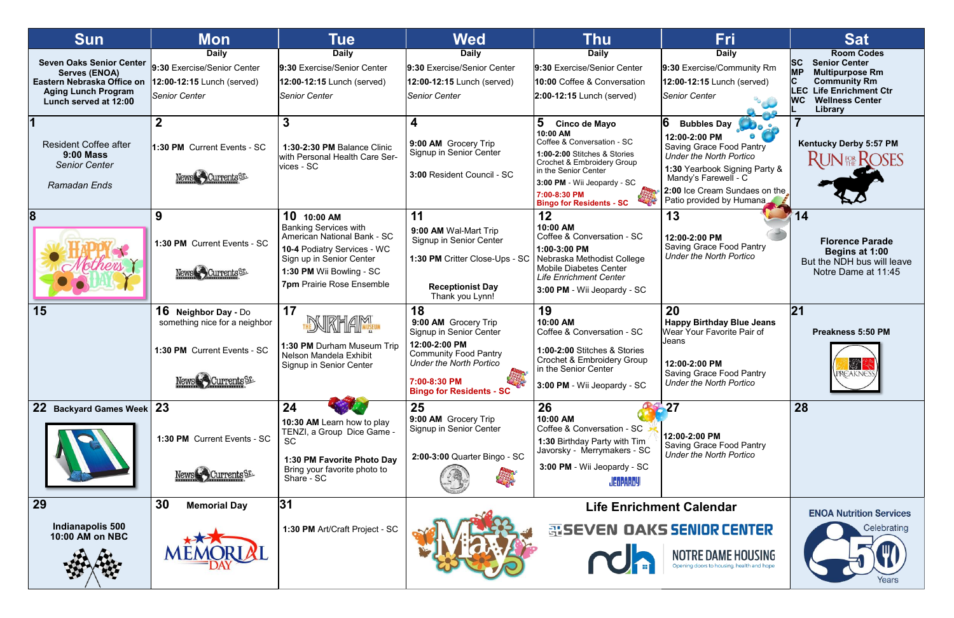| <b>Sun</b>                                                                                                                                   | <b>Mon</b>                                                                                                      | Tue                                                                                                                                                                                                   | Wed                                                                                                                                                                                                  | <b>Thu</b>                                                                                                                                                                                                                           | <b>Fri</b>                                                                                                                                                                                                                           | <b>Sat</b>                                                                                                                                                                                               |
|----------------------------------------------------------------------------------------------------------------------------------------------|-----------------------------------------------------------------------------------------------------------------|-------------------------------------------------------------------------------------------------------------------------------------------------------------------------------------------------------|------------------------------------------------------------------------------------------------------------------------------------------------------------------------------------------------------|--------------------------------------------------------------------------------------------------------------------------------------------------------------------------------------------------------------------------------------|--------------------------------------------------------------------------------------------------------------------------------------------------------------------------------------------------------------------------------------|----------------------------------------------------------------------------------------------------------------------------------------------------------------------------------------------------------|
| <b>Seven Oaks Senior Center</b><br><b>Serves (ENOA)</b><br>Eastern Nebraska Office on<br><b>Aging Lunch Program</b><br>Lunch served at 12:00 | <b>Daily</b><br>9:30 Exercise/Senior Center<br>12:00-12:15 Lunch (served)<br><b>Senior Center</b>               | <b>Daily</b><br>9:30 Exercise/Senior Center<br>12:00-12:15 Lunch (served)<br><b>Senior Center</b>                                                                                                     | <b>Daily</b><br>9:30 Exercise/Senior Center<br>12:00-12:15 Lunch (served)<br><b>Senior Center</b>                                                                                                    | <b>Daily</b><br>9:30 Exercise/Senior Center<br>10:00 Coffee & Conversation<br>$2:00-12:15$ Lunch (served)                                                                                                                            | <b>Daily</b><br>9:30 Exercise/Community Rm<br>12:00-12:15 Lunch (served)<br><b>Senior Center</b>                                                                                                                                     | <b>Room Codes</b><br><b>SC</b><br><b>Senior Center</b><br><b>MP</b><br><b>Multipurpose Rm</b><br><b>Community Rm</b><br><b>LEC</b> Life Enrichment Ctr<br><b>WC</b><br><b>Wellness Center</b><br>Library |
| <b>Resident Coffee after</b><br><b>9:00 Mass</b><br><b>Senior Center</b><br>Ramadan Ends                                                     | 1:30 PM Current Events - SC<br><b>News Currents</b> ST                                                          | $\mathbf{3}$<br>1:30-2:30 PM Balance Clinic<br>with Personal Health Care Ser-<br>vices - SC                                                                                                           | 4<br>9:00 AM Grocery Trip<br>Signup in Senior Center<br>3:00 Resident Council - SC                                                                                                                   | 5<br>Cinco de Mayo<br>10:00 AM<br>Coffee & Conversation - SC<br>1:00-2:00 Stitches & Stories<br>Crochet & Embroidery Group<br>in the Senior Center<br>3:00 PM - Wii Jeopardy - SC<br>7:00-8:30 PM<br><b>Bingo for Residents - SC</b> | 16<br><b>Bubbles Day</b><br>12:00-2:00 PM<br><b>Saving Grace Food Pantry</b><br><b>Under the North Portico</b><br>1:30 Yearbook Signing Party &<br>Mandy's Farewell - C<br>2:00 Ice Cream Sundaes on the<br>Patio provided by Humana | <b>Kentucky Derby 5:57 PM</b><br><b>RUNER ROSES</b>                                                                                                                                                      |
|                                                                                                                                              | 9<br>1:30 PM Current Events - SC<br>News Currents ST.                                                           | 10 10:00 AM<br><b>Banking Services with</b><br>American National Bank - SC<br>10-4 Podiatry Services - WC<br>Sign up in Senior Center<br>1:30 PM Wii Bowling - SC<br><b>7pm Prairie Rose Ensemble</b> | 11<br>9:00 AM Wal-Mart Trip<br>Signup in Senior Center<br>1:30 PM Critter Close-Ups - SC<br><b>Receptionist Day</b><br>Thank you Lynn!                                                               | 12<br>10:00 AM<br>Coffee & Conversation - SC<br>1:00-3:00 PM<br>Nebraska Methodist College<br><b>Mobile Diabetes Center</b><br><b>Life Enrichment Center</b><br>3:00 PM - Wii Jeopardy - SC                                          | 13<br>12:00-2:00 PM<br><b>Saving Grace Food Pantry</b><br><b>Under the North Portico</b>                                                                                                                                             | 14<br><b>Florence Parade</b><br>Begins at 1:00<br>But the NDH bus will leave<br>Notre Dame at 11:45                                                                                                      |
| 15                                                                                                                                           | <b>16 Neighbor Day - Do</b><br>something nice for a neighbor<br>1:30 PM Current Events - SC<br>News Currents SE | 17<br><b>NRHAM</b><br>1:30 PM Durham Museum Trip<br>Nelson Mandela Exhibit<br>Signup in Senior Center                                                                                                 | 18<br>9:00 AM Grocery Trip<br>Signup in Senior Center<br>12:00-2:00 PM<br><b>Community Food Pantry</b><br><b>Under the North Portico</b><br>other<br>7:00-8:30 PM<br><b>Bingo for Residents - SC</b> | 19<br>10:00 AM<br>Coffee & Conversation - SC<br>1:00-2:00 Stitches & Stories<br><b>Crochet &amp; Embroidery Group</b><br>in the Senior Center<br>3:00 PM - Wii Jeopardy - SC                                                         | 20<br><b>Happy Birthday Blue Jeans</b><br>Wear Your Favorite Pair of<br>Jeans<br>12:00-2:00 PM<br><b>Saving Grace Food Pantry</b><br><b>Under the North Portico</b>                                                                  | 21<br><b>Preakness 5:50 PM</b><br><b>EX</b>                                                                                                                                                              |
| 22 Backyard Games Week 23                                                                                                                    | 1:30 PM Current Events - SC<br>News Currents ST.                                                                | 24<br>10:30 AM Learn how to play<br>TENZI, a Group Dice Game -<br>SC.<br>1:30 PM Favorite Photo Day<br>Bring your favorite photo to<br>Share - SC                                                     | 25<br>9:00 AM Grocery Trip<br>Signup in Senior Center<br>2:00-3:00 Quarter Bingo - SC                                                                                                                | 26<br>10:00 AM<br>Coffee & Conversation - SC<br>1:30 Birthday Party with Tim<br>Javorsky - Merrymakers - SC<br>3:00 PM - Wii Jeopardy - SC<br><b>JEOPARDY!</b>                                                                       | $\bullet$ 27<br>12:00-2:00 PM<br><b>Saving Grace Food Pantry</b><br><b>Under the North Portico</b>                                                                                                                                   | 28                                                                                                                                                                                                       |
| <b>29</b><br>Indianapolis 500<br>10:00 AM on NBC                                                                                             | 30<br><b>Memorial Day</b>                                                                                       | 31<br>1:30 PM Art/Craft Project - SC                                                                                                                                                                  |                                                                                                                                                                                                      |                                                                                                                                                                                                                                      | <b>Life Enrichment Calendar</b><br>哥SEVEN OAKS SENIOR CENTER<br>NOTRE DAME HOUSING<br>Opening doors to housing, health and hope.                                                                                                     | <b>ENOA Nutrition Services</b><br>Celebrating<br>Years                                                                                                                                                   |